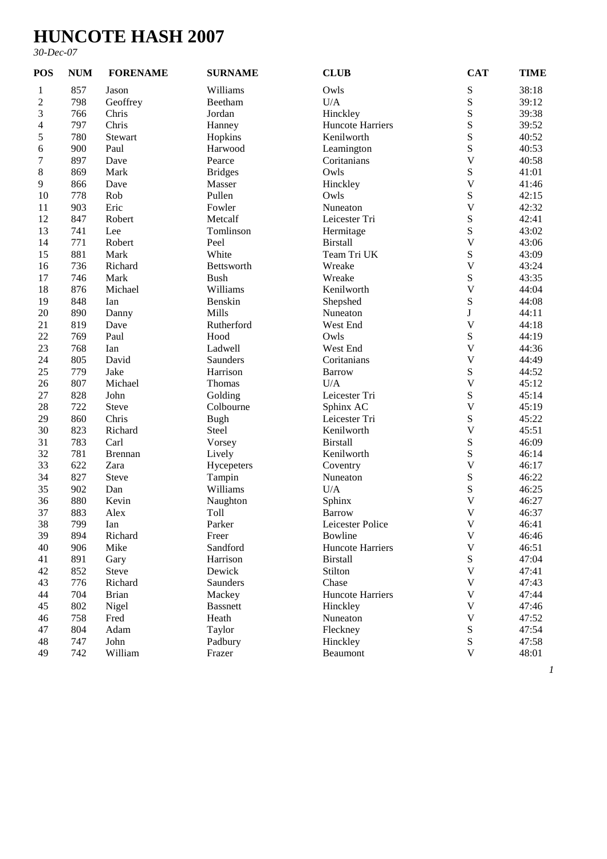## **HUNCOTE HASH 2007**

## *30-Dec-07*

| <b>POS</b>     | <b>NUM</b> | <b>FORENAME</b> | <b>SURNAME</b>    | <b>CLUB</b>             | <b>CAT</b>              | <b>TIME</b> |
|----------------|------------|-----------------|-------------------|-------------------------|-------------------------|-------------|
| 1              | 857        | Jason           | Williams          | Owls                    | S                       | 38:18       |
| $\overline{c}$ | 798        | Geoffrey        | Beetham           | U/A                     | S                       | 39:12       |
| 3              | 766        | Chris           | Jordan            | Hinckley                | S                       | 39:38       |
| 4              | 797        | Chris           | Hanney            | <b>Huncote Harriers</b> | S                       | 39:52       |
| 5              | 780        | Stewart         | Hopkins           | Kenilworth              | S                       | 40:52       |
| 6              | 900        | Paul            | Harwood           | Leamington              | S                       | 40:53       |
| 7              | 897        | Dave            | Pearce            | Coritanians             | $\overline{\mathsf{V}}$ | 40:58       |
| $8\,$          | 869        | Mark            | <b>Bridges</b>    | Owls                    | S                       | 41:01       |
| $\overline{9}$ | 866        | Dave            | Masser            | Hinckley                | $\mathbf V$             | 41:46       |
| 10             | 778        | Rob             | Pullen            | Owls                    | S                       | 42:15       |
| 11             | 903        | Eric            | Fowler            | Nuneaton                | $\mathbf V$             | 42:32       |
| 12             | 847        | Robert          | Metcalf           | Leicester Tri           | S                       | 42:41       |
| 13             | 741        | Lee             | Tomlinson         | Hermitage               | S                       | 43:02       |
| 14             | 771        | Robert          | Peel              | <b>Birstall</b>         | $\overline{\mathsf{V}}$ | 43:06       |
| 15             | 881        | Mark            | White             | Team Tri UK             | S                       | 43:09       |
| 16             | 736        | Richard         | Bettsworth        | Wreake                  | $\mathbf V$             | 43:24       |
| 17             | 746        | Mark            | <b>Bush</b>       | Wreake                  | S                       | 43:35       |
| 18             | 876        | Michael         | Williams          | Kenilworth              | $\overline{\mathsf{V}}$ | 44:04       |
| 19             | 848        | Ian             | Benskin           | Shepshed                | S                       | 44:08       |
| 20             | 890        | Danny           | Mills             | Nuneaton                | $\mathbf{J}$            | 44:11       |
| 21             | 819        | Dave            | Rutherford        | West End                | $\mathbf V$             | 44:18       |
| 22             | 769        | Paul            | Hood              | Owls                    | S                       | 44:19       |
| 23             | 768        | Ian             | Ladwell           | West End                | $\mathbf V$             | 44:36       |
| 24             | 805        | David           | Saunders          | Coritanians             | $\mathbf V$             | 44:49       |
| 25             | 779        | Jake            | Harrison          | <b>Barrow</b>           | S                       | 44:52       |
| 26             | 807        | Michael         | Thomas            | U/A                     | $\mathbf V$             | 45:12       |
| 27             | 828        | John            | Golding           | Leicester Tri           | S                       | 45:14       |
| 28             | 722        | <b>Steve</b>    | Colbourne         | Sphinx AC               | $\mathbf V$             | 45:19       |
| 29             | 860        | Chris           | <b>Bugh</b>       | Leicester Tri           | S                       | 45:22       |
| 30             | 823        | Richard         | Steel             | Kenilworth              | $\mathbf V$             | 45:51       |
| 31             | 783        | Carl            | Vorsey            | <b>Birstall</b>         | S                       | 46:09       |
| 32             | 781        | <b>Brennan</b>  | Lively            | Kenilworth              | S                       | 46:14       |
| 33             | 622        | Zara            | Hycepeters        | Coventry                | $\mathbf V$             | 46:17       |
| 34             | 827        | <b>Steve</b>    | Tampin            | Nuneaton                | S                       | 46:22       |
| 35             | 902        | Dan             | Williams          | U/A                     | S                       | 46:25       |
| 36             | 880        | Kevin           | Naughton          | Sphinx                  | $\mathbf V$             | 46:27       |
| 37             | 883        | Alex            | Toll              | <b>Barrow</b>           | $\overline{\mathsf{V}}$ | 46:37       |
| 38             | 799        | Ian             | Parker            | Leicester Police        | $\mathbf V$             | 46:41       |
| 39             | 894        |                 |                   | Bowline                 | $\mathbf V$             | 46:46       |
| 40             |            | Richard<br>Mike | Freer<br>Sandford | Huncote Harriers        | V                       | 46:51       |
|                | 906        |                 |                   |                         |                         |             |
| 41             | 891        | Gary            | Harrison          | <b>Birstall</b>         | ${\bf S}$               | 47:04       |
| 42             | 852        | Steve           | Dewick            | Stilton                 | $\mathbf V$             | 47:41       |
| 43             | 776        | Richard         | Saunders          | Chase                   | $\mathbf V$             | 47:43       |
| 44             | 704        | <b>Brian</b>    | Mackey            | Huncote Harriers        | $\mathbf V$             | 47:44       |
| 45             | 802        | Nigel           | <b>Bassnett</b>   | Hinckley                | $\mathbf V$             | 47:46       |
| 46             | 758        | Fred            | Heath             | Nuneaton                | $\mathbf V$             | 47:52       |
| 47             | 804        | Adam            | Taylor            | Fleckney                | S                       | 47:54       |
| 48             | 747        | John            | Padbury           | Hinckley                | ${\bf S}$               | 47:58       |
| 49             | 742        | William         | Frazer            | Beaumont                | $\mathbf V$             | 48:01       |

*1*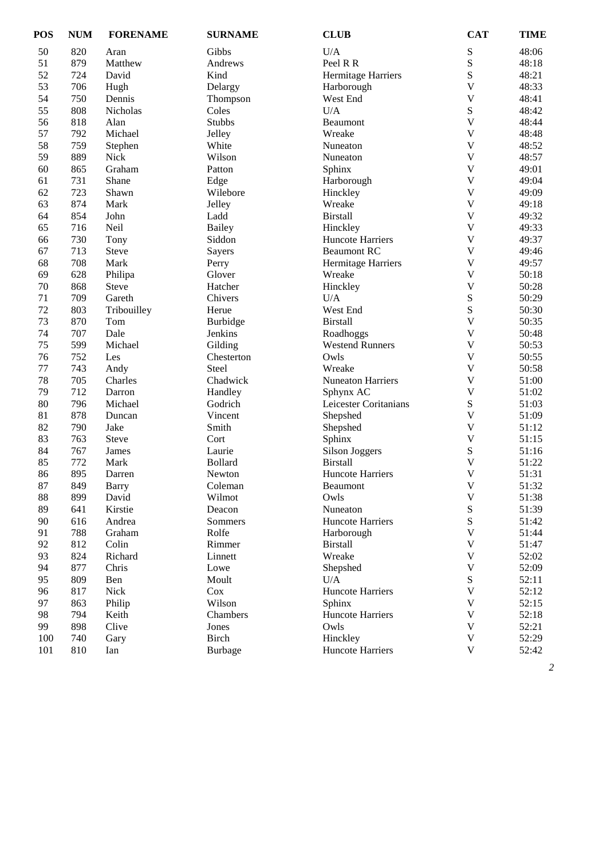| <b>POS</b> | <b>NUM</b> | <b>FORENAME</b> | <b>SURNAME</b> | <b>CLUB</b>              | <b>CAT</b>                | <b>TIME</b> |
|------------|------------|-----------------|----------------|--------------------------|---------------------------|-------------|
| 50         | 820        | Aran            | Gibbs          | U/A                      | ${\bf S}$                 | 48:06       |
| 51         | 879        | Matthew         | Andrews        | Peel R R                 | ${\bf S}$                 | 48:18       |
| 52         | 724        | David           | Kind           | Hermitage Harriers       | $\mathbf S$               | 48:21       |
| 53         | 706        | Hugh            | Delargy        | Harborough               | $\mathbf V$               | 48:33       |
| 54         | 750        | Dennis          | Thompson       | West End                 | $\overline{\mathsf{V}}$   | 48:41       |
| 55         | 808        | Nicholas        | Coles          | U/A                      | $\mathbf S$               | 48:42       |
| 56         | 818        | Alan            | <b>Stubbs</b>  | Beaumont                 | $\mathbf V$               | 48:44       |
| 57         | 792        | Michael         | Jelley         | Wreake                   | $\mathbf V$               | 48:48       |
| 58         | 759        | Stephen         | White          | Nuneaton                 | $\mathbf V$               | 48:52       |
| 59         | 889        | <b>Nick</b>     | Wilson         | Nuneaton                 | $\mathbf V$               | 48:57       |
| 60         | 865        | Graham          | Patton         | Sphinx                   | $\overline{\mathsf{V}}$   | 49:01       |
| 61         | 731        | Shane           | Edge           | Harborough               | $\mathbf V$               | 49:04       |
| 62         | 723        | Shawn           | Wilebore       | Hinckley                 | $\mathbf V$               | 49:09       |
| 63         | 874        | Mark            | Jelley         | Wreake                   | $\mathbf V$               | 49:18       |
| 64         | 854        | John            | Ladd           | <b>Birstall</b>          | $\mathbf V$               | 49:32       |
| 65         | 716        | Neil            | <b>Bailey</b>  | Hinckley                 | $\mathbf V$               | 49:33       |
| 66         | 730        | Tony            | Siddon         | <b>Huncote Harriers</b>  | $\mathbf V$               | 49:37       |
| 67         | 713        | Steve           | Sayers         | <b>Beaumont RC</b>       | $\mathbf V$               | 49:46       |
| 68         | 708        | Mark            | Perry          | Hermitage Harriers       | $\mathbf V$               | 49:57       |
| 69         | 628        | Philipa         | Glover         | Wreake                   | $\mathbf V$               | 50:18       |
| 70         | 868        | <b>Steve</b>    | Hatcher        | Hinckley                 | $\mathbf V$               | 50:28       |
| 71         | 709        | Gareth          | Chivers        | U/A                      | $\mathbf S$               | 50:29       |
| 72         | 803        | Tribouilley     | Herue          | West End                 | ${\bf S}$                 | 50:30       |
| 73         | 870        |                 |                | <b>Birstall</b>          | $\mathbf V$               | 50:35       |
| 74         |            | Tom<br>Dale     | Burbidge       |                          | $\mathbf V$               |             |
|            | 707        |                 | Jenkins        | Roadhoggs                | $\mathbf V$               | 50:48       |
| 75         | 599        | Michael         | Gilding        | <b>Westend Runners</b>   |                           | 50:53       |
| 76         | 752        | Les             | Chesterton     | Owls                     | $\mathbf V$               | 50:55       |
| 77         | 743        | Andy            | Steel          | Wreake                   | $\mathbf V$               | 50:58       |
| 78         | 705        | Charles         | Chadwick       | <b>Nuneaton Harriers</b> | $\mathbf V$               | 51:00       |
| 79         | 712        | Darron          | Handley        | Sphynx AC                | $\ensuremath{\mathbf{V}}$ | 51:02       |
| 80         | 796        | Michael         | Godrich        | Leicester Coritanians    | $\mathbf S$               | 51:03       |
| 81         | 878        | Duncan          | Vincent        | Shepshed                 | $\mathbf V$               | 51:09       |
| 82         | 790        | Jake            | Smith          | Shepshed                 | $\mathbf V$               | 51:12       |
| 83         | 763        | <b>Steve</b>    | Cort           | Sphinx                   | $\mathbf V$               | 51:15       |
| 84         | 767        | James           | Laurie         | <b>Silson Joggers</b>    | ${\bf S}$                 | 51:16       |
| 85         | 772        | Mark            | <b>Bollard</b> | <b>Birstall</b>          | $\mathbf V$               | 51:22       |
| 86         | 895        | Darren          | Newton         | Huncote Harriers         | $\overline{\mathsf{V}}$   | 51:31       |
| 87         | 849        | <b>Barry</b>    | Coleman        | Beaumont                 | $\mathbf V$               | 51:32       |
| 88         | 899        | David           | Wilmot         | Owls                     | $\mathbf V$               | 51:38       |
| 89         | 641        | Kirstie         | Deacon         | Nuneaton                 | ${\bf S}$                 | 51:39       |
| 90         | 616        | Andrea          | Sommers        | <b>Huncote Harriers</b>  | ${\bf S}$                 | 51:42       |
| 91         | 788        | Graham          | Rolfe          | Harborough               | $\mathbf V$               | 51:44       |
| 92         | 812        | Colin           | Rimmer         | <b>Birstall</b>          | $\mathbf V$               | 51:47       |
| 93         | 824        | Richard         | Linnett        | Wreake                   | $\mathbf V$               | 52:02       |
| 94         | 877        | Chris           | Lowe           | Shepshed                 | $\mathbf V$               | 52:09       |
| 95         | 809        | Ben             | Moult          | U/A                      | ${\bf S}$                 | 52:11       |
| 96         | 817        | Nick            | Cox            | Huncote Harriers         | $\mathbf V$               | 52:12       |
| 97         | 863        | Philip          | Wilson         | Sphinx                   | $\mathbf V$               | 52:15       |
| 98         | 794        | Keith           | Chambers       | Huncote Harriers         | $\mathbf V$               | 52:18       |
| 99         | 898        | Clive           | Jones          | Owls                     | $\mathbf V$               | 52:21       |
| 100        | 740        | Gary            | Birch          | Hinckley                 | $\mathbf V$               | 52:29       |
| 101        | 810        | Ian             | <b>Burbage</b> | Huncote Harriers         | V                         | 52:42       |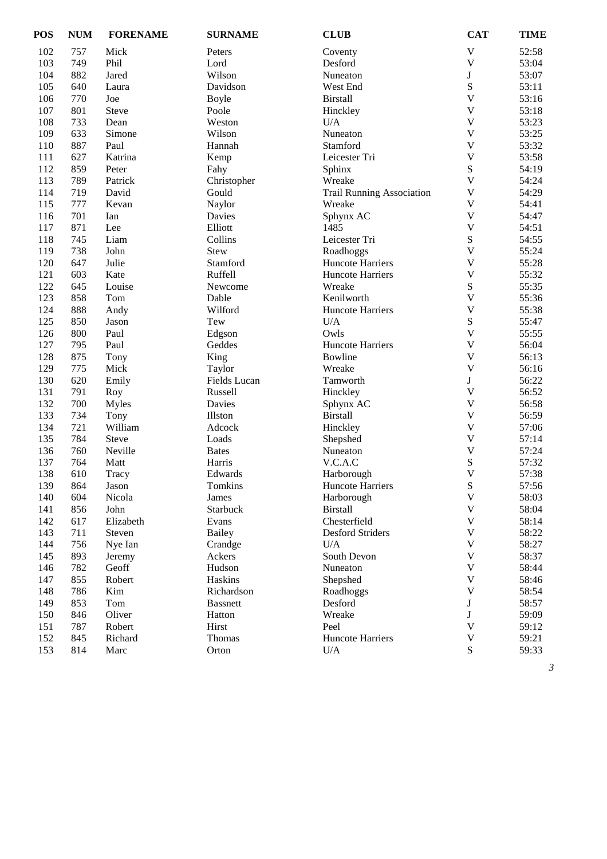| <b>POS</b> | <b>NUM</b> | <b>FORENAME</b> | <b>SURNAME</b>  | <b>CLUB</b>                      | <b>CAT</b>                | <b>TIME</b>    |
|------------|------------|-----------------|-----------------|----------------------------------|---------------------------|----------------|
| 102        | 757        | Mick            | Peters          | Coventy                          | V                         | 52:58          |
| 103        | 749        | Phil            | Lord            | Desford                          | $\mathbf V$               | 53:04          |
| 104        | 882        | Jared           | Wilson          | Nuneaton                         | $\mathbf J$               | 53:07          |
| 105        | 640        | Laura           | Davidson        | West End                         | S                         | 53:11          |
| 106        | 770        | Joe             | Boyle           | <b>Birstall</b>                  | $\overline{\mathsf{V}}$   | 53:16          |
| 107        | 801        | <b>Steve</b>    | Poole           | Hinckley                         | $\mathbf V$               | 53:18          |
| 108        | 733        | Dean            | Weston          | U/A                              | $\mathbf{V}$              | 53:23          |
| 109        | 633        | Simone          | Wilson          | Nuneaton                         | $\ensuremath{\mathbf{V}}$ | 53:25          |
| 110        | 887        | Paul            | Hannah          | Stamford                         | $\ensuremath{\mathbf{V}}$ | 53:32          |
| 111        | 627        | Katrina         | Kemp            | Leicester Tri                    | $\mathbf V$               | 53:58          |
| 112        | 859        | Peter           | Fahy            | Sphinx                           | S                         | 54:19          |
| 113        | 789        | Patrick         | Christopher     | Wreake                           | $\overline{\mathsf{V}}$   | 54:24          |
| 114        | 719        | David           | Gould           | <b>Trail Running Association</b> | $\overline{\mathsf{V}}$   | 54:29          |
| 115        | 777        | Kevan           | Naylor          | Wreake                           | $\overline{\mathsf{V}}$   | 54:41          |
| 116        | 701        | Ian             | Davies          | Sphynx AC                        | $\overline{\mathsf{V}}$   | 54:47          |
| 117        | 871        | Lee             | Elliott         | 1485                             | $\mathbf V$               | 54:51          |
| 118        | 745        | Liam            | Collins         | Leicester Tri                    | ${\bf S}$                 | 54:55          |
| 119        | 738        | John            | Stew            | Roadhoggs                        | $\mathbf V$               | 55:24          |
| 120        | 647        | Julie           | Stamford        | <b>Huncote Harriers</b>          | $\mathbf V$               | 55:28          |
| 121        | 603        | Kate            | Ruffell         | Huncote Harriers                 | $\ensuremath{\mathbf{V}}$ | 55:32          |
| 122        | 645        | Louise          | Newcome         | Wreake                           | ${\bf S}$                 | 55:35          |
| 123        | 858        | Tom             | Dable           | Kenilworth                       | $\mathbf V$               | 55:36          |
| 124        | 888        | Andy            | Wilford         | Huncote Harriers                 | $\mathbf V$               | 55:38          |
| 125        | 850        | Jason           | Tew             | U/A                              | S                         | 55:47          |
| 126        | 800        | Paul            | Edgson          | Owls                             | $\overline{\mathsf{V}}$   | 55:55          |
| 127        | 795        | Paul            | Geddes          | Huncote Harriers                 | $\mathbf V$               | 56:04          |
| 128        | 875        | Tony            | King            | Bowline                          | $\overline{\mathsf{V}}$   | 56:13          |
| 129        | 775        | Mick            | Taylor          | Wreake                           | $\mathbf V$               | 56:16          |
| 130        | 620        | Emily           | Fields Lucan    | Tamworth                         | $\bf J$                   | 56:22          |
| 131        | 791        | Roy             | Russell         | Hinckley                         | $\mathbf{V}$              | 56:52          |
| 132        | 700        | <b>Myles</b>    | Davies          | Sphynx AC                        | $\mathbf V$               | 56:58          |
| 133        | 734        | Tony            | Illston         | <b>Birstall</b>                  | $\ensuremath{\mathbf{V}}$ | 56:59          |
| 134        | 721        | William         | Adcock          | Hinckley                         | $\ensuremath{\mathbf{V}}$ | 57:06          |
| 135        | 784        | Steve           | Loads           | Shepshed                         | $\ensuremath{\mathbf{V}}$ | 57:14          |
| 136        | 760        | Neville         | <b>Bates</b>    | Nuneaton                         | $\mathbf V$               | 57:24          |
| 137        | 764        | Matt            | Harris          | V.C.A.C                          | S                         | 57:32          |
| 138        | 610        | Tracy           | Edwards         | Harborough                       | $\overline{\mathsf{V}}$   | 57:38          |
| 139        | 864        | Jason           | Tomkins         | Huncote Harriers                 | S                         | 57:56          |
| 140        | 604        | Nicola          | James           | Harborough                       | $\mathbf V$               | 58:03          |
| 141        | 856        | John            | Starbuck        | <b>Birstall</b>                  | $\mathbf V$               | 58:04          |
| 142        | 617        | Elizabeth       | Evans           | Chesterfield                     | $\mathbf V$               | 58:14          |
| 143        | 711        | Steven          | <b>Bailey</b>   | <b>Desford Striders</b>          | $\mathbf{V}$              | 58:22          |
| 144        | 756        | Nye Ian         | Crandge         | U/A                              | $\mathbf V$               | 58:27          |
| 145        | 893        | Jeremy          | Ackers          | South Devon                      | $\mathbf V$               | 58:37          |
| 146        | 782        | Geoff           | Hudson          | Nuneaton                         | $\mathbf V$               | 58:44          |
| 147        | 855        | Robert          | Haskins         | Shepshed                         | $\ensuremath{\mathbf{V}}$ | 58:46          |
|            |            |                 |                 |                                  | $\mathbf V$               |                |
| 148        | 786        | Kim             | Richardson      | Roadhoggs                        | $\bf J$                   | 58:54<br>58:57 |
| 149        | 853        | Tom             | <b>Bassnett</b> | Desford                          |                           |                |
| 150        | 846        | Oliver          | Hatton          | Wreake                           | J<br>$\mathbf{V}$         | 59:09          |
| 151        | 787        | Robert          | Hirst           | Peel                             |                           | 59:12          |
| 152        | 845        | Richard         | Thomas          | Huncote Harriers                 | $\mathbf V$               | 59:21          |
| 153        | 814        | Marc            | Orton           | $U/A$                            | S                         | 59:33          |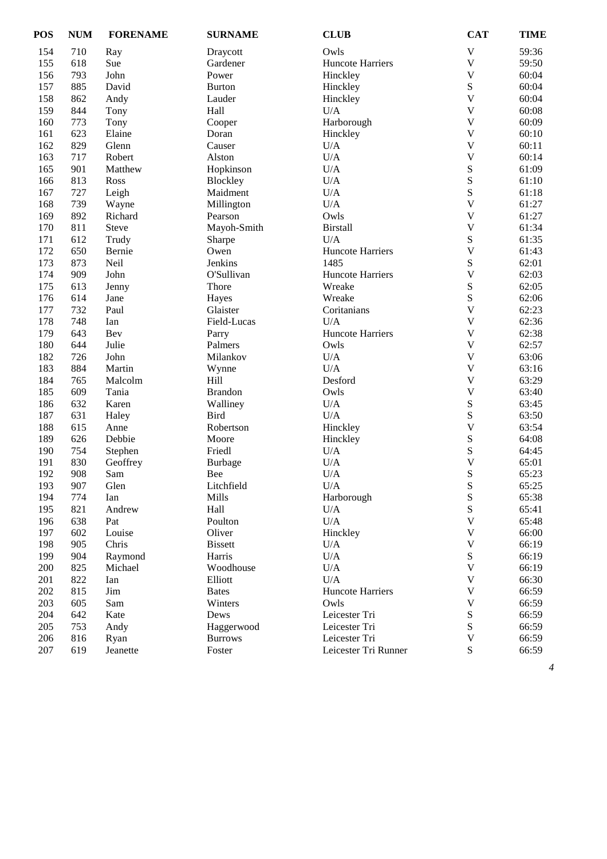| $\mathbf V$<br>154<br>710<br>Owls<br>Ray<br>Draycott<br>$\mathbf V$<br>155<br>618<br>Sue<br>Gardener<br>Huncote Harriers<br>793<br>$\mathbf V$<br>156<br>John<br>Power<br>Hinckley<br>${\bf S}$<br>157<br>885<br>David<br><b>Burton</b><br>Hinckley<br>$\mathbf V$<br>158<br>862<br>Andy<br>Lauder<br>Hinckley<br>U/A<br>$\mathbf V$<br>159<br>844<br>Hall<br>Tony<br>$\mathbf V$<br>160<br>Harborough<br>773<br>Cooper<br>Tony<br>$\mathbf V$<br>161<br>623<br>Elaine<br>Doran<br>Hinckley<br>$\mathbf V$<br>162<br>829<br>Glenn<br>Causer<br>U/A<br>163<br>U/A<br>$\mathbf V$<br>717<br>Robert<br>Alston<br>${\bf S}$<br>$U/A$<br>165<br>901<br>Matthew<br>Hopkinson<br>S<br>813<br>U/A<br>166<br>Blockley<br>Ross | 59:36<br>59:50<br>60:04<br>60:04<br>60:04<br>60:08<br>60:09<br>60:10<br>60:11<br>60:14<br>61:09<br>61:10<br>61:18<br>61:27<br>61:27<br>61:34<br>61:35<br>61:43 |
|----------------------------------------------------------------------------------------------------------------------------------------------------------------------------------------------------------------------------------------------------------------------------------------------------------------------------------------------------------------------------------------------------------------------------------------------------------------------------------------------------------------------------------------------------------------------------------------------------------------------------------------------------------------------------------------------------------------------|----------------------------------------------------------------------------------------------------------------------------------------------------------------|
|                                                                                                                                                                                                                                                                                                                                                                                                                                                                                                                                                                                                                                                                                                                      |                                                                                                                                                                |
|                                                                                                                                                                                                                                                                                                                                                                                                                                                                                                                                                                                                                                                                                                                      |                                                                                                                                                                |
|                                                                                                                                                                                                                                                                                                                                                                                                                                                                                                                                                                                                                                                                                                                      |                                                                                                                                                                |
|                                                                                                                                                                                                                                                                                                                                                                                                                                                                                                                                                                                                                                                                                                                      |                                                                                                                                                                |
|                                                                                                                                                                                                                                                                                                                                                                                                                                                                                                                                                                                                                                                                                                                      |                                                                                                                                                                |
|                                                                                                                                                                                                                                                                                                                                                                                                                                                                                                                                                                                                                                                                                                                      |                                                                                                                                                                |
|                                                                                                                                                                                                                                                                                                                                                                                                                                                                                                                                                                                                                                                                                                                      |                                                                                                                                                                |
|                                                                                                                                                                                                                                                                                                                                                                                                                                                                                                                                                                                                                                                                                                                      |                                                                                                                                                                |
|                                                                                                                                                                                                                                                                                                                                                                                                                                                                                                                                                                                                                                                                                                                      |                                                                                                                                                                |
|                                                                                                                                                                                                                                                                                                                                                                                                                                                                                                                                                                                                                                                                                                                      |                                                                                                                                                                |
|                                                                                                                                                                                                                                                                                                                                                                                                                                                                                                                                                                                                                                                                                                                      |                                                                                                                                                                |
|                                                                                                                                                                                                                                                                                                                                                                                                                                                                                                                                                                                                                                                                                                                      |                                                                                                                                                                |
| $\mathbf S$<br>U/A<br>167<br>727<br>Leigh<br>Maidment                                                                                                                                                                                                                                                                                                                                                                                                                                                                                                                                                                                                                                                                |                                                                                                                                                                |
| $\mathbf V$<br>739<br>U/A<br>168<br>Wayne<br>Millington                                                                                                                                                                                                                                                                                                                                                                                                                                                                                                                                                                                                                                                              |                                                                                                                                                                |
| 892<br>Owls<br>$\mathbf V$<br>169<br>Richard<br>Pearson                                                                                                                                                                                                                                                                                                                                                                                                                                                                                                                                                                                                                                                              |                                                                                                                                                                |
| $\mathbf V$<br>170<br>811<br>Mayoh-Smith<br><b>Birstall</b><br><b>Steve</b>                                                                                                                                                                                                                                                                                                                                                                                                                                                                                                                                                                                                                                          |                                                                                                                                                                |
| ${\bf S}$<br>171<br>612<br>U/A<br>Trudy<br>Sharpe                                                                                                                                                                                                                                                                                                                                                                                                                                                                                                                                                                                                                                                                    |                                                                                                                                                                |
| $\mathbf V$<br>172<br>650<br>Owen<br><b>Huncote Harriers</b><br>Bernie                                                                                                                                                                                                                                                                                                                                                                                                                                                                                                                                                                                                                                               |                                                                                                                                                                |
| $\mathbf S$<br>173<br>Jenkins<br>1485<br>873<br>Neil                                                                                                                                                                                                                                                                                                                                                                                                                                                                                                                                                                                                                                                                 | 62:01                                                                                                                                                          |
| $\mathbf V$<br>174<br>909<br>John<br>O'Sullivan<br>Huncote Harriers                                                                                                                                                                                                                                                                                                                                                                                                                                                                                                                                                                                                                                                  | 62:03                                                                                                                                                          |
| ${\bf S}$<br>175<br>613<br>Thore<br>Wreake<br>Jenny                                                                                                                                                                                                                                                                                                                                                                                                                                                                                                                                                                                                                                                                  | 62:05                                                                                                                                                          |
| $\mathbf S$<br>176<br>614<br>Wreake<br>Jane<br>Hayes                                                                                                                                                                                                                                                                                                                                                                                                                                                                                                                                                                                                                                                                 | 62:06                                                                                                                                                          |
| 177<br>732<br>$\mathbf V$<br>Paul<br>Glaister<br>Coritanians                                                                                                                                                                                                                                                                                                                                                                                                                                                                                                                                                                                                                                                         | 62:23                                                                                                                                                          |
| $\overline{\mathsf{V}}$<br>178<br>748<br>U/A<br>Field-Lucas<br>Ian                                                                                                                                                                                                                                                                                                                                                                                                                                                                                                                                                                                                                                                   | 62:36                                                                                                                                                          |
| 179<br>$\mathbf V$<br>643<br>Huncote Harriers<br>Bev<br>Parry                                                                                                                                                                                                                                                                                                                                                                                                                                                                                                                                                                                                                                                        | 62:38                                                                                                                                                          |
| 180<br>$\mathbf V$<br>644<br>Julie<br>Palmers<br>Owls                                                                                                                                                                                                                                                                                                                                                                                                                                                                                                                                                                                                                                                                | 62:57                                                                                                                                                          |
| 182<br>$\mathbf V$<br>726<br>John<br>Milankov<br>U/A                                                                                                                                                                                                                                                                                                                                                                                                                                                                                                                                                                                                                                                                 | 63:06                                                                                                                                                          |
| 183<br>884<br>U/A<br>$\mathbf V$<br>Martin<br>Wynne                                                                                                                                                                                                                                                                                                                                                                                                                                                                                                                                                                                                                                                                  | 63:16                                                                                                                                                          |
| $\mathbf V$<br>184<br>765<br>Hill<br>Desford<br>Malcolm                                                                                                                                                                                                                                                                                                                                                                                                                                                                                                                                                                                                                                                              | 63:29                                                                                                                                                          |
| $\mathbf V$<br>185<br>Owls<br>609<br>Tania<br><b>Brandon</b>                                                                                                                                                                                                                                                                                                                                                                                                                                                                                                                                                                                                                                                         | 63:40                                                                                                                                                          |
| ${\bf S}$<br>186<br>632<br>Walliney<br>U/A<br>Karen                                                                                                                                                                                                                                                                                                                                                                                                                                                                                                                                                                                                                                                                  | 63:45                                                                                                                                                          |
| $\mathbf S$<br>187<br><b>Bird</b><br>$U/A$<br>631<br>Haley                                                                                                                                                                                                                                                                                                                                                                                                                                                                                                                                                                                                                                                           | 63:50                                                                                                                                                          |
| $\mathbf V$<br>188<br>615<br>Robertson<br>Anne<br>Hinckley                                                                                                                                                                                                                                                                                                                                                                                                                                                                                                                                                                                                                                                           | 63:54                                                                                                                                                          |
| ${\bf S}$<br>189<br>626<br>Debbie<br>Moore<br>Hinckley                                                                                                                                                                                                                                                                                                                                                                                                                                                                                                                                                                                                                                                               | 64:08                                                                                                                                                          |
| ${\bf S}$<br>190<br>754<br>Friedl<br>U/A<br>Stephen                                                                                                                                                                                                                                                                                                                                                                                                                                                                                                                                                                                                                                                                  | 64:45                                                                                                                                                          |
| U/A<br>$\mathbf V$<br>191<br>830<br>Geoffrey<br><b>Burbage</b>                                                                                                                                                                                                                                                                                                                                                                                                                                                                                                                                                                                                                                                       | 65:01                                                                                                                                                          |
| S<br>192<br>908<br>U/A<br>Sam<br>Bee                                                                                                                                                                                                                                                                                                                                                                                                                                                                                                                                                                                                                                                                                 | 65:23                                                                                                                                                          |
| ${\bf S}$<br>193<br>907<br>Glen<br>Litchfield<br>U/A                                                                                                                                                                                                                                                                                                                                                                                                                                                                                                                                                                                                                                                                 | 65:25                                                                                                                                                          |
| ${\bf S}$<br>774<br>194<br>Mills<br>Harborough<br>Ian                                                                                                                                                                                                                                                                                                                                                                                                                                                                                                                                                                                                                                                                | 65:38                                                                                                                                                          |
| ${\bf S}$<br>195<br>821<br>Hall<br>U/A<br>Andrew                                                                                                                                                                                                                                                                                                                                                                                                                                                                                                                                                                                                                                                                     | 65:41                                                                                                                                                          |
| $\mathbf V$<br>196<br>638<br>U/A<br>Pat<br>Poulton                                                                                                                                                                                                                                                                                                                                                                                                                                                                                                                                                                                                                                                                   | 65:48                                                                                                                                                          |
| $\mathbf V$<br>197<br>602<br>Louise<br>Oliver<br>Hinckley                                                                                                                                                                                                                                                                                                                                                                                                                                                                                                                                                                                                                                                            | 66:00                                                                                                                                                          |
| $\mathbf V$<br>198<br>905<br>Chris<br><b>Bissett</b><br>$U/A$                                                                                                                                                                                                                                                                                                                                                                                                                                                                                                                                                                                                                                                        | 66:19                                                                                                                                                          |
| ${\bf S}$<br>199<br>904<br>Raymond<br>Harris<br>U/A                                                                                                                                                                                                                                                                                                                                                                                                                                                                                                                                                                                                                                                                  | 66:19                                                                                                                                                          |
| $\mathbf V$<br>825<br>$\mathbf{U}/\mathbf{A}$<br>200<br>Michael<br>Woodhouse                                                                                                                                                                                                                                                                                                                                                                                                                                                                                                                                                                                                                                         | 66:19                                                                                                                                                          |
| $\mathbf V$<br>201<br>822<br>Elliott<br>U/A<br>Ian                                                                                                                                                                                                                                                                                                                                                                                                                                                                                                                                                                                                                                                                   | 66:30                                                                                                                                                          |
| $\ensuremath{\mathbf{V}}$<br>815<br>202<br>Jim<br>Huncote Harriers<br><b>Bates</b>                                                                                                                                                                                                                                                                                                                                                                                                                                                                                                                                                                                                                                   | 66:59                                                                                                                                                          |
| $\mathbf V$<br>203<br>605<br>Sam<br>Winters<br>Owls                                                                                                                                                                                                                                                                                                                                                                                                                                                                                                                                                                                                                                                                  | 66:59                                                                                                                                                          |
| $\mathbf S$<br>204<br>642<br>Kate<br>Dews<br>Leicester Tri                                                                                                                                                                                                                                                                                                                                                                                                                                                                                                                                                                                                                                                           | 66:59                                                                                                                                                          |
| ${\bf S}$<br>205<br>753<br>Andy<br>Haggerwood<br>Leicester Tri                                                                                                                                                                                                                                                                                                                                                                                                                                                                                                                                                                                                                                                       | 66:59                                                                                                                                                          |
| $\mathbf V$<br>206<br>816<br>Leicester Tri<br>Ryan<br><b>Burrows</b>                                                                                                                                                                                                                                                                                                                                                                                                                                                                                                                                                                                                                                                 | 66:59                                                                                                                                                          |
| $\mathbf S$<br>207<br>619<br>Leicester Tri Runner<br>Jeanette<br>Foster                                                                                                                                                                                                                                                                                                                                                                                                                                                                                                                                                                                                                                              | 66:59                                                                                                                                                          |